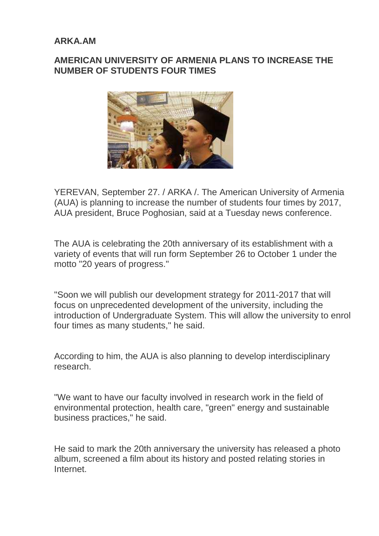## **ARKA.AM**

## **AMERICAN UNIVERSITY OF ARMENIA PLANS TO INCREASE THE NUMBER OF STUDENTS FOUR TIMES**



YEREVAN, September 27. / ARKA /. The American University of Armenia (AUA) is planning to increase the number of students four times by 2017, AUA president, Bruce Poghosian, said at a Tuesday news conference.

The AUA is celebrating the 20th anniversary of its establishment with a variety of events that will run form September 26 to October 1 under the motto "20 years of progress."

"Soon we will publish our development strategy for 2011-2017 that will focus on unprecedented development of the university, including the introduction of Undergraduate System. This will allow the university to enrol four times as many students," he said.

According to him, the AUA is also planning to develop interdisciplinary research.

"We want to have our faculty involved in research work in the field of environmental protection, health care, "green" energy and sustainable business practices," he said.

He said to mark the 20th anniversary the university has released a photo album, screened a film about its history and posted relating stories in Internet.